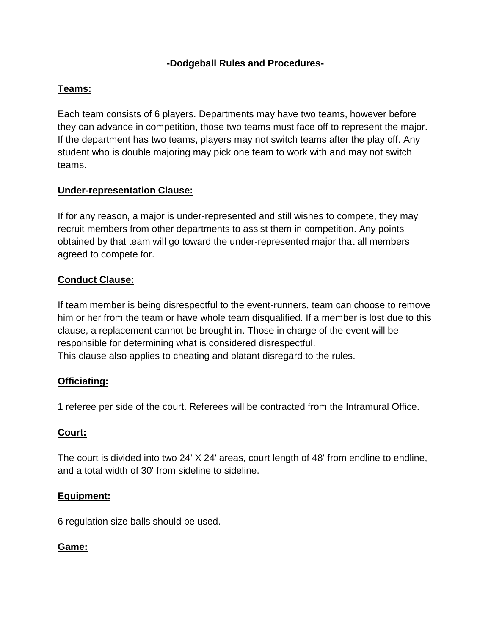### **-Dodgeball Rules and Procedures-**

### **Teams:**

Each team consists of 6 players. Departments may have two teams, however before they can advance in competition, those two teams must face off to represent the major. If the department has two teams, players may not switch teams after the play off. Any student who is double majoring may pick one team to work with and may not switch teams.

### **Under-representation Clause:**

If for any reason, a major is under-represented and still wishes to compete, they may recruit members from other departments to assist them in competition. Any points obtained by that team will go toward the under-represented major that all members agreed to compete for.

### **Conduct Clause:**

If team member is being disrespectful to the event-runners, team can choose to remove him or her from the team or have whole team disqualified. If a member is lost due to this clause, a replacement cannot be brought in. Those in charge of the event will be responsible for determining what is considered disrespectful. This clause also applies to cheating and blatant disregard to the rules.

#### **Officiating:**

1 referee per side of the court. Referees will be contracted from the Intramural Office.

#### **Court:**

The court is divided into two 24' X 24' areas, court length of 48' from endline to endline, and a total width of 30' from sideline to sideline.

#### **Equipment:**

6 regulation size balls should be used.

#### **Game:**